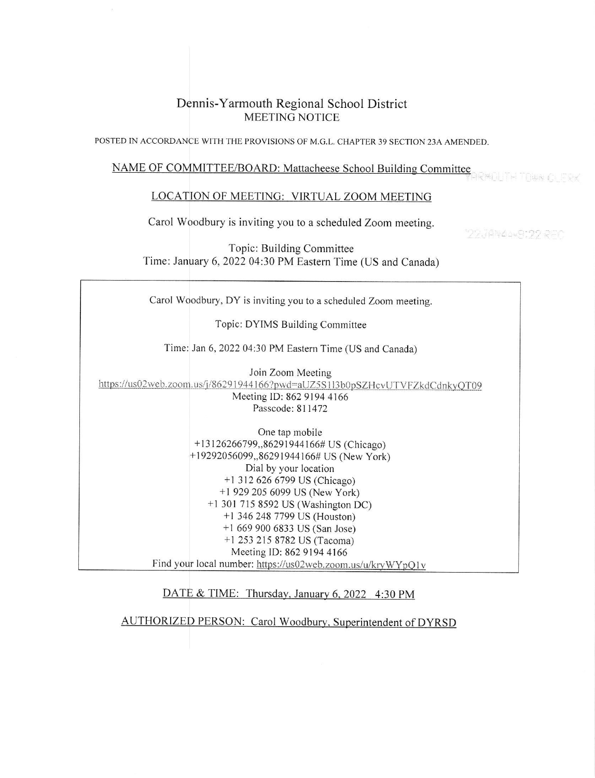# Dennis-Yarmouth Regional School District MEETING NOTICE

POSTED IN ACCORDANCE WITH THE PROVISIONS OF M.G.L. CHAPTER 39 SECTION 23A AMENDED.

# NAME OF COMMITTEE/BOARD: Mattacheese School Building Committee

# LOCATION OF MEETING: VIRTUAL ZOOM MEETING

Carol Woodbury is inviting you to a scheduled Zoom meeting.

22JAN4449199 REC

Topic: Building Committee Time: January 6,2022 04:30 PM Eastern Time (US and Canada)

| Carol Woodbury, DY is inviting you to a scheduled Zoom meeting.                                                                                  |
|--------------------------------------------------------------------------------------------------------------------------------------------------|
| Topic: DYIMS Building Committee                                                                                                                  |
| Time: Jan 6, 2022 04:30 PM Eastern Time (US and Canada)                                                                                          |
| Join Zoom Meeting<br>https://us02web.zoom.us/j/86291944166?pwd=aUZ5S1l3b0pSZHcvUTVFZkdCdnkyQT09<br>Meeting ID: 862 9194 4166<br>Passcode: 811472 |
| One tap mobile<br>+13126266799,,86291944166# US (Chicago)<br>+19292056099,,86291944166# US (New York)<br>Dial by your location                   |

+l 312 626 6799 US (Chicago) +1 929 205 6099 US (New York) +l 301 715 8592 US (Washington DC) +l 346 248 7799 US (Houston) +l 669 900 6833 US (San Jose) +l 253 215 8782 US (Tacoma) Meeting ID: 862 9194 4166 Find your local number: https://us02web.zoom.us/u/kryWYpQ1v

DATE & TIME: Thursday, January 6, 2022  $4:30 \text{ PM}$ 

AUTHORIZED PERSON: Carol Woodbury. Superintendent of DYRSD